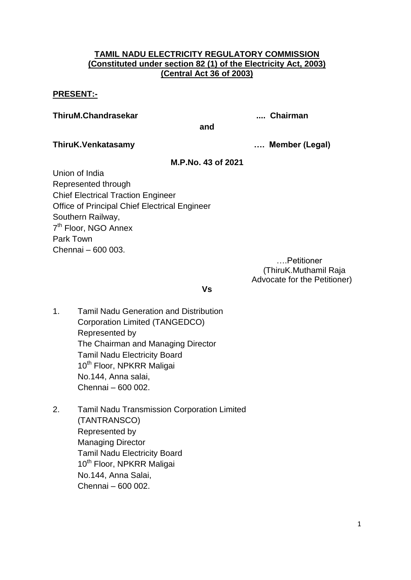# **TAMIL NADU ELECTRICITY REGULATORY COMMISSION (Constituted under section 82 (1) of the Electricity Act, 2003) (Central Act 36 of 2003)**

# **PRESENT:-**

**ThiruM.Chandrasekar .... Chairman**

**and**

**ThiruK.Venkatasamy …. Member (Legal)**

# **M.P.No. 43 of 2021**

Union of India Represented through Chief Electrical Traction Engineer Office of Principal Chief Electrical Engineer Southern Railway, 7<sup>th</sup> Floor, NGO Annex Park Town Chennai – 600 003.

….Petitioner (ThiruK.Muthamil Raja Advocate for the Petitioner)

**Vs**

- 1. Tamil Nadu Generation and Distribution Corporation Limited (TANGEDCO) Represented by The Chairman and Managing Director Tamil Nadu Electricity Board 10<sup>th</sup> Floor, NPKRR Maligai No.144, Anna salai, Chennai – 600 002.
- 2. Tamil Nadu Transmission Corporation Limited (TANTRANSCO) Represented by Managing Director Tamil Nadu Electricity Board 10<sup>th</sup> Floor, NPKRR Maligai No.144, Anna Salai, Chennai – 600 002.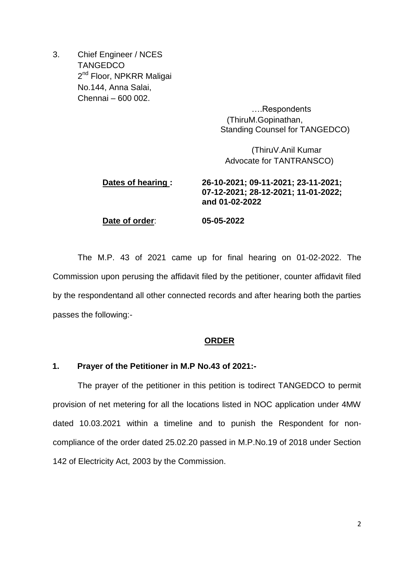3. Chief Engineer / NCES **TANGEDCO** 2<sup>nd</sup> Floor, NPKRR Maligai No.144, Anna Salai, Chennai – 600 002.

> ….Respondents (ThiruM.Gopinathan, Standing Counsel for TANGEDCO)

(ThiruV.Anil Kumar Advocate for TANTRANSCO)

# **Dates of hearing : 26-10-2021; 09-11-2021; 23-11-2021; 07-12-2021; 28-12-2021; 11-01-2022; and 01-02-2022 Date of order**: **05-05-2022**

The M.P. 43 of 2021 came up for final hearing on 01-02-2022. The Commission upon perusing the affidavit filed by the petitioner, counter affidavit filed by the respondentand all other connected records and after hearing both the parties passes the following:-

# **ORDER**

# **1. Prayer of the Petitioner in M.P No.43 of 2021:-**

The prayer of the petitioner in this petition is todirect TANGEDCO to permit provision of net metering for all the locations listed in NOC application under 4MW dated 10.03.2021 within a timeline and to punish the Respondent for noncompliance of the order dated 25.02.20 passed in M.P.No.19 of 2018 under Section 142 of Electricity Act, 2003 by the Commission.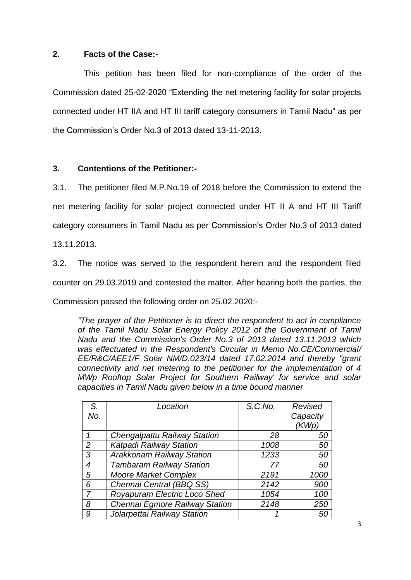# **2. Facts of the Case:-**

This petition has been filed for non-compliance of the order of the Commission dated 25-02-2020 "Extending the net metering facility for solar projects connected under HT IIA and HT III tariff category consumers in Tamil Nadu" as per the Commission's Order No.3 of 2013 dated 13-11-2013.

# **3. Contentions of the Petitioner:-**

3.1. The petitioner filed M.P.No.19 of 2018 before the Commission to extend the net metering facility for solar project connected under HT II A and HT III Tariff category consumers in Tamil Nadu as per Commission's Order No.3 of 2013 dated

13.11.2013.

3.2. The notice was served to the respondent herein and the respondent filed counter on 29.03.2019 and contested the matter. After hearing both the parties, the Commission passed the following order on 25.02.2020:-

*"The prayer of the Petitioner is to direct the respondent to act in compliance of the Tamil Nadu Solar Energy Policy 2012 of the Government of Tamil Nadu and the Commission's Order No.3 of 2013 dated 13.11.2013 which was effectuated in the Respondent's Circular in Memo No.CE/Commercial/ EE/R&C/AEE1/F Solar NM/D.023/14 dated 17.02.2014 and thereby "grant connectivity and net metering to the petitioner for the implementation of 4 MWp Rooftop Solar Project for Southern Railway' for service and solar capacities in Tamil Nadu given below in a time bound manner*

| S.  | Location                            | S.C.No. | Revised  |
|-----|-------------------------------------|---------|----------|
| No. |                                     |         | Capacity |
|     |                                     |         | (KWp)    |
|     | <b>Chengalpattu Railway Station</b> | 28      | 50       |
| 2   | Katpadi Railway Station             | 1008    | 50       |
| 3   | <b>Arakkonam Railway Station</b>    | 1233    | 50       |
| 4   | <b>Tambaram Railway Station</b>     | 77      | 50       |
| 5   | <b>Moore Market Complex</b>         | 2191    | 1000     |
| 6   | Chennai Central (BBQ SS)            | 2142    | 900      |
|     | Royapuram Electric Loco Shed        | 1054    | 100      |
| 8   | Chennai Egmore Railway Station      | 2148    | 250      |
| 9   | Jolarpettai Railway Station         | 1       | 50       |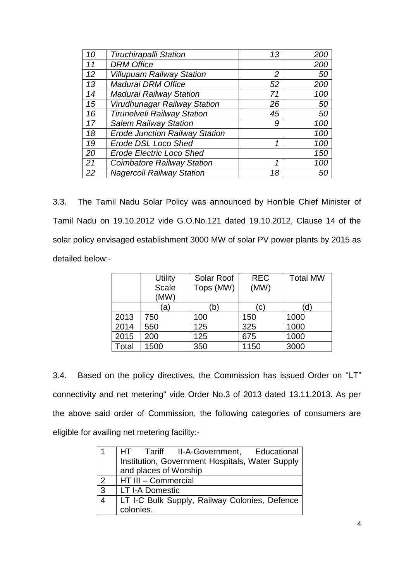| 10 | <b>Tiruchirapalli Station</b>         | 13 | 200 |
|----|---------------------------------------|----|-----|
| 11 | <b>DRM Office</b>                     |    | 200 |
| 12 | <b>Villupuam Railway Station</b>      | 2  | 50  |
| 13 | Madurai DRM Office                    | 52 | 200 |
| 14 | <b>Madurai Railway Station</b>        | 71 | 100 |
| 15 | Virudhunagar Railway Station          | 26 | 50  |
| 16 | <b>Tirunelveli Railway Station</b>    | 45 | 50  |
| 17 | <b>Salem Railway Station</b>          | 9  | 100 |
| 18 | <b>Erode Junction Railway Station</b> |    | 100 |
| 19 | <b>Erode DSL Loco Shed</b>            | 1  | 100 |
| 20 | <b>Erode Electric Loco Shed</b>       |    | 150 |
| 21 | <b>Coimbatore Railway Station</b>     | 1  | 100 |
| 22 | <b>Nagercoil Railway Station</b>      | 18 | 50  |

3.3. The Tamil Nadu Solar Policy was announced by Hon'ble Chief Minister of Tamil Nadu on 19.10.2012 vide G.O.No.121 dated 19.10.2012, Clause 14 of the solar policy envisaged establishment 3000 MW of solar PV power plants by 2015 as detailed below:-

|       | <b>Utility</b> | Solar Roof | <b>REC</b> | <b>Total MW</b> |
|-------|----------------|------------|------------|-----------------|
|       | <b>Scale</b>   | Tops (MW)  | (MW)       |                 |
|       | (MW)           |            |            |                 |
|       | (a)            | (b`        | (c)        | (d)             |
| 2013  | 750            | 100        | 150        | 1000            |
| 2014  | 550            | 125        | 325        | 1000            |
| 2015  | 200            | 125        | 675        | 1000            |
| Total | 1500           | 350        | 1150       | 3000            |

3.4. Based on the policy directives, the Commission has issued Order on "LT" connectivity and net metering" vide Order No.3 of 2013 dated 13.11.2013. As per the above said order of Commission, the following categories of consumers are eligible for availing net metering facility:-

|                | HT Tariff II-A-Government, Educational          |
|----------------|-------------------------------------------------|
|                | Institution, Government Hospitals, Water Supply |
|                | and places of Worship                           |
| $\overline{2}$ | HT III - Commercial                             |
| $\mathbf{3}$   | LT I-A Domestic                                 |
| 4              | LT I-C Bulk Supply, Railway Colonies, Defence   |
|                | colonies.                                       |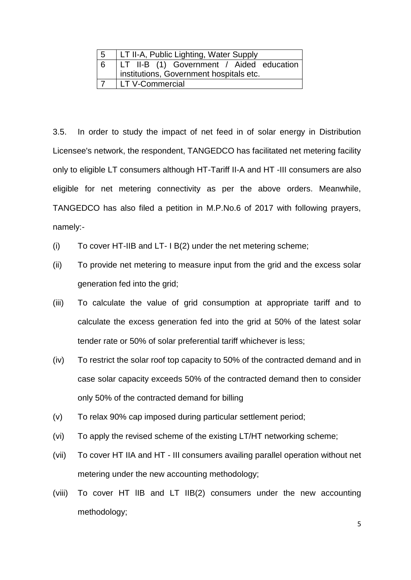| -5 | LT II-A, Public Lighting, Water Supply   |
|----|------------------------------------------|
| -6 | LT II-B (1) Government / Aided education |
|    | institutions, Government hospitals etc.  |
|    | LT V-Commercial                          |

3.5. In order to study the impact of net feed in of solar energy in Distribution Licensee's network, the respondent, TANGEDCO has facilitated net metering facility only to eligible LT consumers although HT-Tariff II-A and HT -III consumers are also eligible for net metering connectivity as per the above orders. Meanwhile, TANGEDCO has also filed a petition in M.P.No.6 of 2017 with following prayers, namely:-

- (i) To cover HT-IIB and LT- I B(2) under the net metering scheme;
- (ii) To provide net metering to measure input from the grid and the excess solar generation fed into the grid;
- (iii) To calculate the value of grid consumption at appropriate tariff and to calculate the excess generation fed into the grid at 50% of the latest solar tender rate or 50% of solar preferential tariff whichever is less;
- (iv) To restrict the solar roof top capacity to 50% of the contracted demand and in case solar capacity exceeds 50% of the contracted demand then to consider only 50% of the contracted demand for billing
- (v) To relax 90% cap imposed during particular settlement period;
- (vi) To apply the revised scheme of the existing LT/HT networking scheme;
- (vii) To cover HT IIA and HT III consumers availing parallel operation without net metering under the new accounting methodology;
- (viii) To cover HT lIB and LT IIB(2) consumers under the new accounting methodology;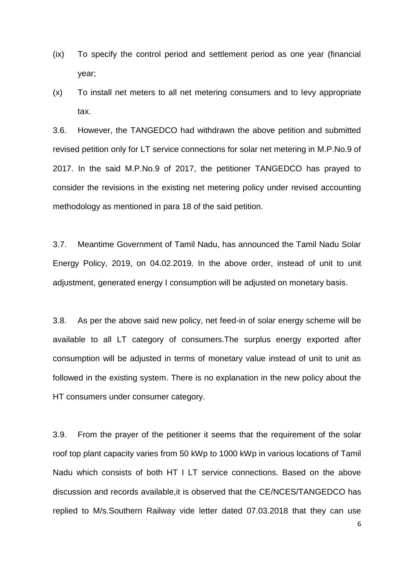- (ix) To specify the control period and settlement period as one year (financial year;
- (x) To install net meters to all net metering consumers and to levy appropriate tax.

3.6. However, the TANGEDCO had withdrawn the above petition and submitted revised petition only for LT service connections for solar net metering in M.P.No.9 of 2017. In the said M.P.No.9 of 2017, the petitioner TANGEDCO has prayed to consider the revisions in the existing net metering policy under revised accounting methodology as mentioned in para 18 of the said petition.

3.7. Meantime Government of Tamil Nadu, has announced the Tamil Nadu Solar Energy Policy, 2019, on 04.02.2019. In the above order, instead of unit to unit adjustment, generated energy I consumption will be adjusted on monetary basis.

3.8. As per the above said new policy, net feed-in of solar energy scheme will be available to all LT category of consumers.The surplus energy exported after consumption will be adjusted in terms of monetary value instead of unit to unit as followed in the existing system. There is no explanation in the new policy about the HT consumers under consumer category.

3.9. From the prayer of the petitioner it seems that the requirement of the solar roof top plant capacity varies from 50 kWp to 1000 kWp in various locations of Tamil Nadu which consists of both HT I LT service connections. Based on the above discussion and records available,it is observed that the CE/NCES/TANGEDCO has replied to M/s.Southern Railway vide letter dated 07.03.2018 that they can use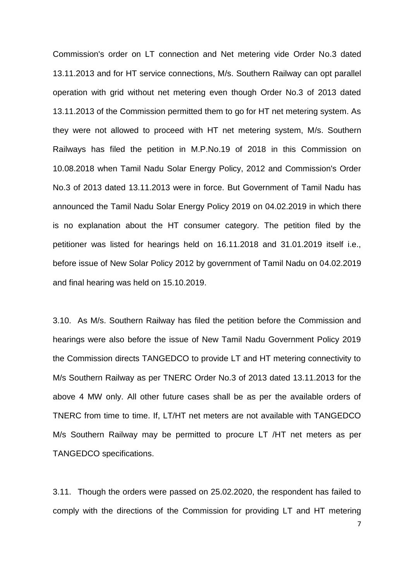Commission's order on LT connection and Net metering vide Order No.3 dated 13.11.2013 and for HT service connections, M/s. Southern Railway can opt parallel operation with grid without net metering even though Order No.3 of 2013 dated 13.11.2013 of the Commission permitted them to go for HT net metering system. As they were not allowed to proceed with HT net metering system, M/s. Southern Railways has filed the petition in M.P.No.19 of 2018 in this Commission on 10.08.2018 when Tamil Nadu Solar Energy Policy, 2012 and Commission's Order No.3 of 2013 dated 13.11.2013 were in force. But Government of Tamil Nadu has announced the Tamil Nadu Solar Energy Policy 2019 on 04.02.2019 in which there is no explanation about the HT consumer category. The petition filed by the petitioner was listed for hearings held on 16.11.2018 and 31.01.2019 itself i.e., before issue of New Solar Policy 2012 by government of Tamil Nadu on 04.02.2019 and final hearing was held on 15.10.2019.

3.10. As M/s. Southern Railway has filed the petition before the Commission and hearings were also before the issue of New Tamil Nadu Government Policy 2019 the Commission directs TANGEDCO to provide LT and HT metering connectivity to M/s Southern Railway as per TNERC Order No.3 of 2013 dated 13.11.2013 for the above 4 MW only. All other future cases shall be as per the available orders of TNERC from time to time. If, LT/HT net meters are not available with TANGEDCO M/s Southern Railway may be permitted to procure LT /HT net meters as per TANGEDCO specifications.

3.11. Though the orders were passed on 25.02.2020, the respondent has failed to comply with the directions of the Commission for providing LT and HT metering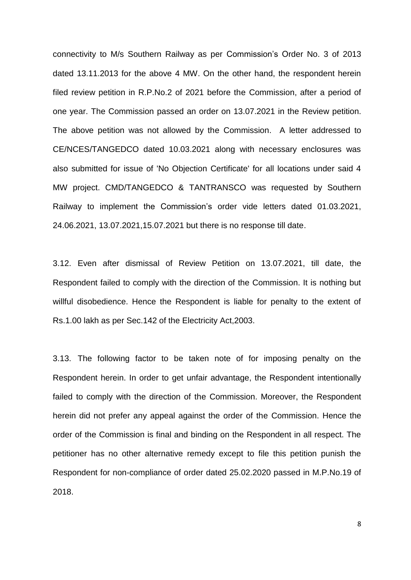connectivity to M/s Southern Railway as per Commission's Order No. 3 of 2013 dated 13.11.2013 for the above 4 MW. On the other hand, the respondent herein filed review petition in R.P.No.2 of 2021 before the Commission, after a period of one year. The Commission passed an order on 13.07.2021 in the Review petition. The above petition was not allowed by the Commission. A letter addressed to CE/NCES/TANGEDCO dated 10.03.2021 along with necessary enclosures was also submitted for issue of 'No Objection Certificate' for all locations under said 4 MW project. CMD/TANGEDCO & TANTRANSCO was requested by Southern Railway to implement the Commission's order vide letters dated 01.03.2021, 24.06.2021, 13.07.2021,15.07.2021 but there is no response till date.

3.12. Even after dismissal of Review Petition on 13.07.2021, till date, the Respondent failed to comply with the direction of the Commission. It is nothing but willful disobedience. Hence the Respondent is liable for penalty to the extent of Rs.1.00 lakh as per Sec.142 of the Electricity Act,2003.

3.13. The following factor to be taken note of for imposing penalty on the Respondent herein. In order to get unfair advantage, the Respondent intentionally failed to comply with the direction of the Commission. Moreover, the Respondent herein did not prefer any appeal against the order of the Commission. Hence the order of the Commission is final and binding on the Respondent in all respect. The petitioner has no other alternative remedy except to file this petition punish the Respondent for non-compliance of order dated 25.02.2020 passed in M.P.No.19 of 2018.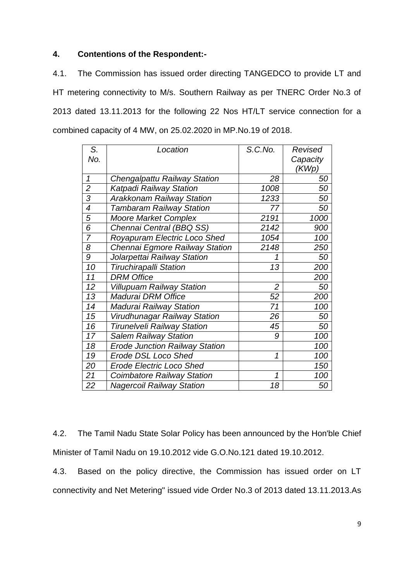# **4. Contentions of the Respondent:-**

4.1. The Commission has issued order directing TANGEDCO to provide LT and HT metering connectivity to M/s. Southern Railway as per TNERC Order No.3 of 2013 dated 13.11.2013 for the following 22 Nos HT/LT service connection for a combined capacity of 4 MW, on 25.02.2020 in MP.No.19 of 2018.

| S.                       | Location                              | S.C.No.        | Revised  |
|--------------------------|---------------------------------------|----------------|----------|
| No.                      |                                       |                | Capacity |
|                          |                                       |                | (KWp)    |
| 1                        | <b>Chengalpattu Railway Station</b>   | 28             | 50       |
| $\overline{2}$           | Katpadi Railway Station               | 1008           | 50       |
| $\overline{3}$           | <b>Arakkonam Railway Station</b>      | 1233           | 50       |
| $\overline{\mathcal{A}}$ | <b>Tambaram Railway Station</b>       | 77             | 50       |
| 5                        | <b>Moore Market Complex</b>           | 2191           | 1000     |
| 6                        | Chennai Central (BBQ SS)              | 2142           | 900      |
| $\overline{7}$           | Royapuram Electric Loco Shed          | 1054           | 100      |
| 8                        | Chennai Egmore Railway Station        | 2148           | 250      |
| 9                        | Jolarpettai Railway Station           | 1              | 50       |
| 10                       | <b>Tiruchirapalli Station</b>         | 13             | 200      |
| 11                       | <b>DRM Office</b>                     |                | 200      |
| 12                       | <b>Villupuam Railway Station</b>      | $\overline{2}$ | 50       |
| 13                       | Madurai DRM Office                    | 52             | 200      |
| 14                       | <b>Madurai Railway Station</b>        | 71             | 100      |
| 15                       | Virudhunagar Railway Station          | 26             | 50       |
| 16                       | <b>Tirunelveli Railway Station</b>    | 45             | 50       |
| 17                       | <b>Salem Railway Station</b>          | 9              | 100      |
| 18                       | <b>Erode Junction Railway Station</b> |                | 100      |
| 19                       | <b>Erode DSL Loco Shed</b>            | $\mathcal I$   | 100      |
| 20                       | <b>Erode Electric Loco Shed</b>       |                | 150      |
| 21                       | <b>Coimbatore Railway Station</b>     | 1              | 100      |
| 22                       | <b>Nagercoil Railway Station</b>      | 18             | 50       |

4.2. The Tamil Nadu State Solar Policy has been announced by the Hon'ble Chief Minister of Tamil Nadu on 19.10.2012 vide G.O.No.121 dated 19.10.2012.

4.3. Based on the policy directive, the Commission has issued order on LT connectivity and Net Metering" issued vide Order No.3 of 2013 dated 13.11.2013.As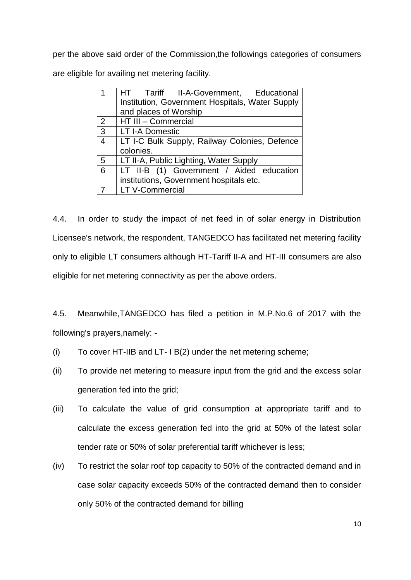per the above said order of the Commission,the followings categories of consumers are eligible for availing net metering facility.

|                | HT Tariff II-A-Government, Educational          |  |
|----------------|-------------------------------------------------|--|
|                | Institution, Government Hospitals, Water Supply |  |
|                | and places of Worship                           |  |
| 2              | HT III - Commercial                             |  |
| $\mathbf{3}$   | <b>LT I-A Domestic</b>                          |  |
| $\overline{4}$ | LT I-C Bulk Supply, Railway Colonies, Defence   |  |
|                | colonies.                                       |  |
| 5              | LT II-A, Public Lighting, Water Supply          |  |
| 6              | LT II-B (1) Government / Aided education        |  |
|                | institutions, Government hospitals etc.         |  |
|                | <b>LT V-Commercial</b>                          |  |

4.4. In order to study the impact of net feed in of solar energy in Distribution Licensee's network, the respondent, TANGEDCO has facilitated net metering facility only to eligible LT consumers although HT-Tariff II-A and HT-III consumers are also eligible for net metering connectivity as per the above orders.

4.5. Meanwhile,TANGEDCO has filed a petition in M.P.No.6 of 2017 with the following's prayers,namely: -

- (i) To cover HT-IIB and LT- I B(2) under the net metering scheme;
- (ii) To provide net metering to measure input from the grid and the excess solar generation fed into the grid;
- (iii) To calculate the value of grid consumption at appropriate tariff and to calculate the excess generation fed into the grid at 50% of the latest solar tender rate or 50% of solar preferential tariff whichever is less;
- (iv) To restrict the solar roof top capacity to 50% of the contracted demand and in case solar capacity exceeds 50% of the contracted demand then to consider only 50% of the contracted demand for billing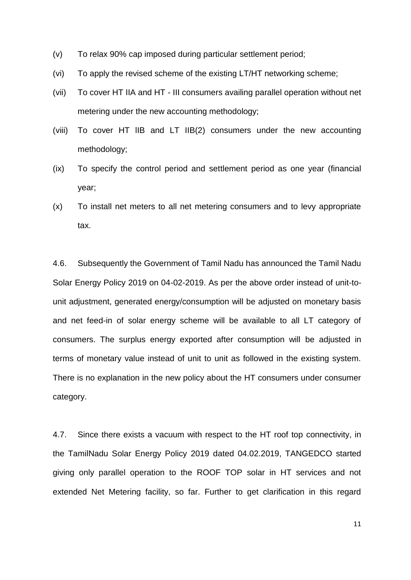- (v) To relax 90% cap imposed during particular settlement period;
- (vi) To apply the revised scheme of the existing LT/HT networking scheme;
- (vii) To cover HT IIA and HT III consumers availing parallel operation without net metering under the new accounting methodology;
- (viii) To cover HT lIB and LT IIB(2) consumers under the new accounting methodology;
- (ix) To specify the control period and settlement period as one year (financial year;
- (x) To install net meters to all net metering consumers and to levy appropriate tax.

4.6. Subsequently the Government of Tamil Nadu has announced the Tamil Nadu Solar Energy Policy 2019 on 04-02-2019. As per the above order instead of unit-tounit adjustment, generated energy/consumption will be adjusted on monetary basis and net feed-in of solar energy scheme will be available to all LT category of consumers. The surplus energy exported after consumption will be adjusted in terms of monetary value instead of unit to unit as followed in the existing system. There is no explanation in the new policy about the HT consumers under consumer category.

4.7. Since there exists a vacuum with respect to the HT roof top connectivity, in the TamilNadu Solar Energy Policy 2019 dated 04.02.2019, TANGEDCO started giving only parallel operation to the ROOF TOP solar in HT services and not extended Net Metering facility, so far. Further to get clarification in this regard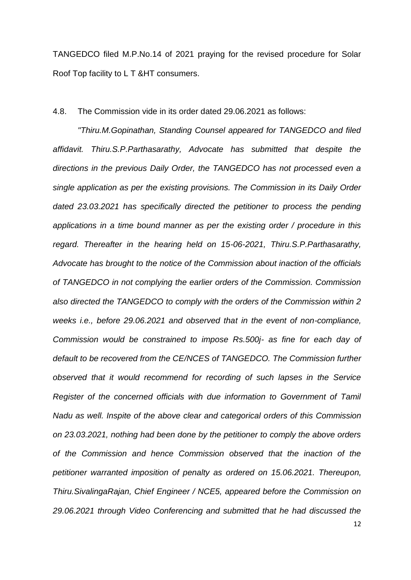TANGEDCO filed M.P.No.14 of 2021 praying for the revised procedure for Solar Roof Top facility to L T &HT consumers.

#### 4.8. The Commission vide in its order dated 29.06.2021 as follows:

*"Thiru.M.Gopinathan, Standing Counsel appeared for TANGEDCO and filed affidavit. Thiru.S.P.Parthasarathy, Advocate has submitted that despite the directions in the previous Daily Order, the TANGEDCO has not processed even a single application as per the existing provisions. The Commission in its Daily Order*  dated 23.03.2021 has specifically directed the petitioner to process the pending *applications in a time bound manner as per the existing order / procedure in this regard. Thereafter in the hearing held on 15-06-2021, Thiru.S.P.Parthasarathy, Advocate has brought to the notice of the Commission about inaction of the officials of TANGEDCO in not complying the earlier orders of the Commission. Commission also directed the TANGEDCO to comply with the orders of the Commission within 2 weeks i.e., before 29.06.2021 and observed that in the event of non-compliance, Commission would be constrained to impose Rs.500j- as fine for each day of*  default to be recovered from the CE/NCES of TANGEDCO. The Commission further *observed that it would recommend for recording of such lapses in the Service Register of the concerned officials with due information to Government of Tamil Nadu as well. Inspite of the above clear and categorical orders of this Commission on 23.03.2021, nothing had been done by the petitioner to comply the above orders of the Commission and hence Commission observed that the inaction of the petitioner warranted imposition of penalty as ordered on 15.06.2021. Thereupon, Thiru.SivalingaRajan, Chief Engineer / NCE5, appeared before the Commission on 29.06.2021 through Video Conferencing and submitted that he had discussed the*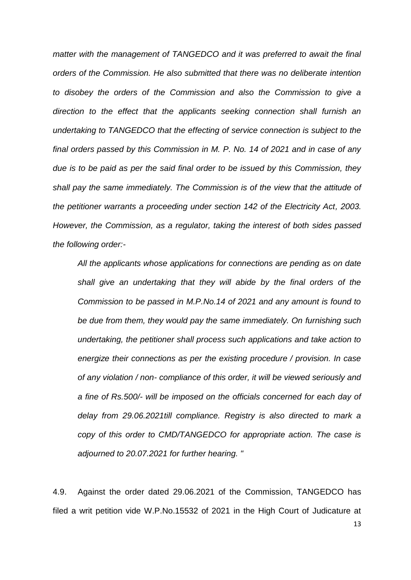*matter with the management of TANGEDCO and it was preferred to await the final orders of the Commission. He also submitted that there was no deliberate intention to disobey the orders of the Commission and also the Commission to give a direction to the effect that the applicants seeking connection shall furnish an undertaking to TANGEDCO that the effecting of service connection is subject to the final orders passed by this Commission in M. P. No. 14 of 2021 and in case of any due is to be paid as per the said final order to be issued by this Commission, they shall pay the same immediately. The Commission is of the view that the attitude of the petitioner warrants a proceeding under section 142 of the Electricity Act, 2003. However, the Commission, as a regulator, taking the interest of both sides passed the following order:-* 

*All the applicants whose applications for connections are pending as on date shall give an undertaking that they will abide by the final orders of the Commission to be passed in M.P.No.14 of 2021 and any amount is found to be due from them, they would pay the same immediately. On furnishing such undertaking, the petitioner shall process such applications and take action to energize their connections as per the existing procedure / provision. In case of any violation / non- compliance of this order, it will be viewed seriously and a fine of Rs.500/- will be imposed on the officials concerned for each day of delay from 29.06.2021till compliance. Registry is also directed to mark a copy of this order to CMD/TANGEDCO for appropriate action. The case is adjourned to 20.07.2021 for further hearing. "* 

4.9. Against the order dated 29.06.2021 of the Commission, TANGEDCO has filed a writ petition vide W.P.No.15532 of 2021 in the High Court of Judicature at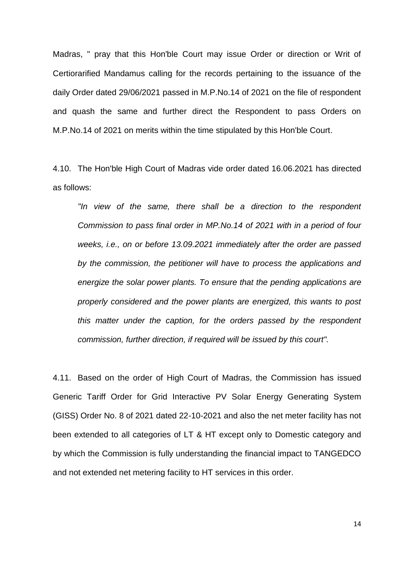Madras, " pray that this Hon'ble Court may issue Order or direction or Writ of Certiorarified Mandamus calling for the records pertaining to the issuance of the daily Order dated 29/06/2021 passed in M.P.No.14 of 2021 on the file of respondent and quash the same and further direct the Respondent to pass Orders on M.P.No.14 of 2021 on merits within the time stipulated by this Hon'ble Court.

4.10. The Hon'ble High Court of Madras vide order dated 16.06.2021 has directed as follows:

*"In view of the same, there shall be a direction to the respondent Commission to pass final order in MP.No.14 of 2021 with in a period of four weeks, i.e., on or before 13.09.2021 immediately after the order are passed by the commission, the petitioner will have to process the applications and energize the solar power plants. To ensure that the pending applications are properly considered and the power plants are energized, this wants to post this matter under the caption, for the orders passed by the respondent commission, further direction, if required will be issued by this court".* 

4.11. Based on the order of High Court of Madras, the Commission has issued Generic Tariff Order for Grid Interactive PV Solar Energy Generating System (GISS) Order No. 8 of 2021 dated 22-10-2021 and also the net meter facility has not been extended to all categories of LT & HT except only to Domestic category and by which the Commission is fully understanding the financial impact to TANGEDCO and not extended net metering facility to HT services in this order.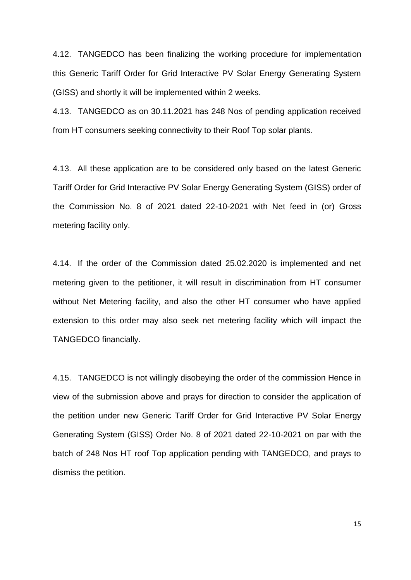4.12. TANGEDCO has been finalizing the working procedure for implementation this Generic Tariff Order for Grid Interactive PV Solar Energy Generating System (GISS) and shortly it will be implemented within 2 weeks.

4.13. TANGEDCO as on 30.11.2021 has 248 Nos of pending application received from HT consumers seeking connectivity to their Roof Top solar plants.

4.13. All these application are to be considered only based on the latest Generic Tariff Order for Grid Interactive PV Solar Energy Generating System (GISS) order of the Commission No. 8 of 2021 dated 22-10-2021 with Net feed in (or) Gross metering facility only.

4.14. If the order of the Commission dated 25.02.2020 is implemented and net metering given to the petitioner, it will result in discrimination from HT consumer without Net Metering facility, and also the other HT consumer who have applied extension to this order may also seek net metering facility which will impact the TANGEDCO financially.

4.15. TANGEDCO is not willingly disobeying the order of the commission Hence in view of the submission above and prays for direction to consider the application of the petition under new Generic Tariff Order for Grid Interactive PV Solar Energy Generating System (GISS) Order No. 8 of 2021 dated 22-10-2021 on par with the batch of 248 Nos HT roof Top application pending with TANGEDCO, and prays to dismiss the petition.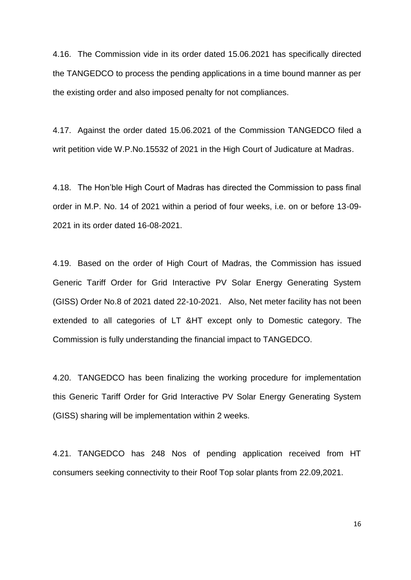4.16. The Commission vide in its order dated 15.06.2021 has specifically directed the TANGEDCO to process the pending applications in a time bound manner as per the existing order and also imposed penalty for not compliances.

4.17. Against the order dated 15.06.2021 of the Commission TANGEDCO filed a writ petition vide W.P.No.15532 of 2021 in the High Court of Judicature at Madras.

4.18. The Hon'ble High Court of Madras has directed the Commission to pass final order in M.P. No. 14 of 2021 within a period of four weeks, i.e. on or before 13-09- 2021 in its order dated 16-08-2021.

4.19. Based on the order of High Court of Madras, the Commission has issued Generic Tariff Order for Grid Interactive PV Solar Energy Generating System (GISS) Order No.8 of 2021 dated 22-10-2021. Also, Net meter facility has not been extended to all categories of LT &HT except only to Domestic category. The Commission is fully understanding the financial impact to TANGEDCO.

4.20. TANGEDCO has been finalizing the working procedure for implementation this Generic Tariff Order for Grid Interactive PV Solar Energy Generating System (GISS) sharing will be implementation within 2 weeks.

4.21. TANGEDCO has 248 Nos of pending application received from HT consumers seeking connectivity to their Roof Top solar plants from 22.09,2021.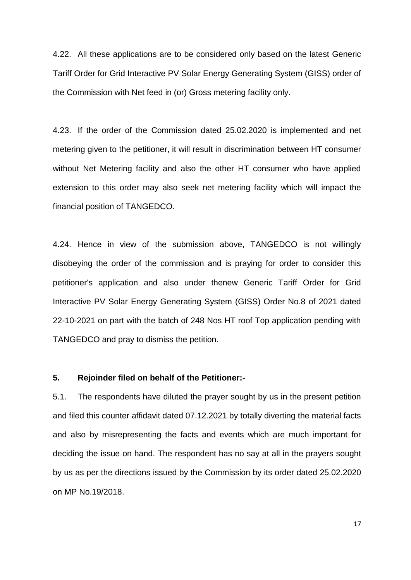4.22. All these applications are to be considered only based on the latest Generic Tariff Order for Grid Interactive PV Solar Energy Generating System (GISS) order of the Commission with Net feed in (or) Gross metering facility only.

4.23. If the order of the Commission dated 25.02.2020 is implemented and net metering given to the petitioner, it will result in discrimination between HT consumer without Net Metering facility and also the other HT consumer who have applied extension to this order may also seek net metering facility which will impact the financial position of TANGEDCO.

4.24. Hence in view of the submission above, TANGEDCO is not willingly disobeying the order of the commission and is praying for order to consider this petitioner's application and also under thenew Generic Tariff Order for Grid Interactive PV Solar Energy Generating System (GISS) Order No.8 of 2021 dated 22-10-2021 on part with the batch of 248 Nos HT roof Top application pending with TANGEDCO and pray to dismiss the petition.

#### **5. Rejoinder filed on behalf of the Petitioner:-**

5.1. The respondents have diluted the prayer sought by us in the present petition and filed this counter affidavit dated 07.12.2021 by totally diverting the material facts and also by misrepresenting the facts and events which are much important for deciding the issue on hand. The respondent has no say at all in the prayers sought by us as per the directions issued by the Commission by its order dated 25.02.2020 on MP No.19/2018.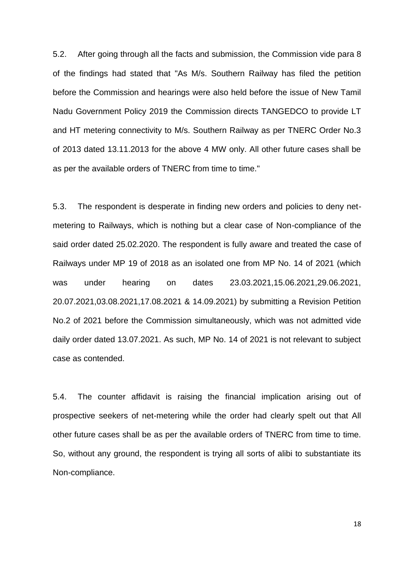5.2. After going through all the facts and submission, the Commission vide para 8 of the findings had stated that "As M/s. Southern Railway has filed the petition before the Commission and hearings were also held before the issue of New Tamil Nadu Government Policy 2019 the Commission directs TANGEDCO to provide LT and HT metering connectivity to M/s. Southern Railway as per TNERC Order No.3 of 2013 dated 13.11.2013 for the above 4 MW only. All other future cases shall be as per the available orders of TNERC from time to time."

5.3. The respondent is desperate in finding new orders and policies to deny netmetering to Railways, which is nothing but a clear case of Non-compliance of the said order dated 25.02.2020. The respondent is fully aware and treated the case of Railways under MP 19 of 2018 as an isolated one from MP No. 14 of 2021 (which was under hearing on dates 23.03.2021,15.06.2021,29.06.2021, 20.07.2021,03.08.2021,17.08.2021 & 14.09.2021) by submitting a Revision Petition No.2 of 2021 before the Commission simultaneously, which was not admitted vide daily order dated 13.07.2021. As such, MP No. 14 of 2021 is not relevant to subject case as contended.

5.4. The counter affidavit is raising the financial implication arising out of prospective seekers of net-metering while the order had clearly spelt out that All other future cases shall be as per the available orders of TNERC from time to time. So, without any ground, the respondent is trying all sorts of alibi to substantiate its Non-compliance.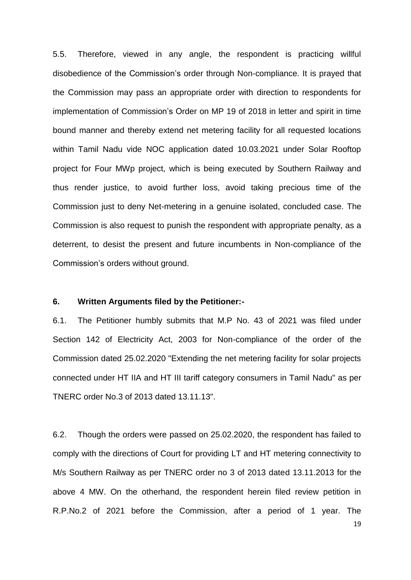5.5. Therefore, viewed in any angle, the respondent is practicing willful disobedience of the Commission's order through Non-compliance. It is prayed that the Commission may pass an appropriate order with direction to respondents for implementation of Commission's Order on MP 19 of 2018 in letter and spirit in time bound manner and thereby extend net metering facility for all requested locations within Tamil Nadu vide NOC application dated 10.03.2021 under Solar Rooftop project for Four MWp project, which is being executed by Southern Railway and thus render justice, to avoid further loss, avoid taking precious time of the Commission just to deny Net-metering in a genuine isolated, concluded case. The Commission is also request to punish the respondent with appropriate penalty, as a deterrent, to desist the present and future incumbents in Non-compliance of the Commission's orders without ground.

## **6. Written Arguments filed by the Petitioner:-**

6.1. The Petitioner humbly submits that M.P No. 43 of 2021 was filed under Section 142 of Electricity Act, 2003 for Non-compliance of the order of the Commission dated 25.02.2020 "Extending the net metering facility for solar projects connected under HT IIA and HT III tariff category consumers in Tamil Nadu" as per TNERC order No.3 of 2013 dated 13.11.13".

6.2. Though the orders were passed on 25.02.2020, the respondent has failed to comply with the directions of Court for providing LT and HT metering connectivity to M/s Southern Railway as per TNERC order no 3 of 2013 dated 13.11.2013 for the above 4 MW. On the otherhand, the respondent herein filed review petition in R.P.No.2 of 2021 before the Commission, after a period of 1 year. The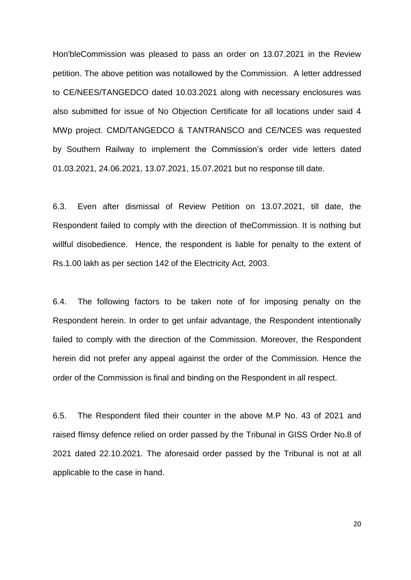Hon'bleCommission was pleased to pass an order on 13.07.2021 in the Review petition. The above petition was notallowed by the Commission. A letter addressed to CE/NEES/TANGEDCO dated 10.03.2021 along with necessary enclosures was also submitted for issue of No Objection Certificate for all locations under said 4 MWp project. CMD/TANGEDCO & TANTRANSCO and CE/NCES was requested by Southern Railway to implement the Commission's order vide letters dated 01.03.2021, 24.06.2021, 13.07.2021, 15.07.2021 but no response till date.

6.3. Even after dismissal of Review Petition on 13.07.2021, till date, the Respondent failed to comply with the direction of theCommission. It is nothing but willful disobedience. Hence, the respondent is liable for penalty to the extent of Rs.1.00 lakh as per section 142 of the Electricity Act, 2003.

6.4. The following factors to be taken note of for imposing penalty on the Respondent herein. In order to get unfair advantage, the Respondent intentionally failed to comply with the direction of the Commission. Moreover, the Respondent herein did not prefer any appeal against the order of the Commission. Hence the order of the Commission is final and binding on the Respondent in all respect.

6.5. The Respondent filed their counter in the above M.P No. 43 of 2021 and raised flimsy defence relied on order passed by the Tribunal in GISS Order No.8 of 2021 dated 22.10.2021. The aforesaid order passed by the Tribunal is not at all applicable to the case in hand.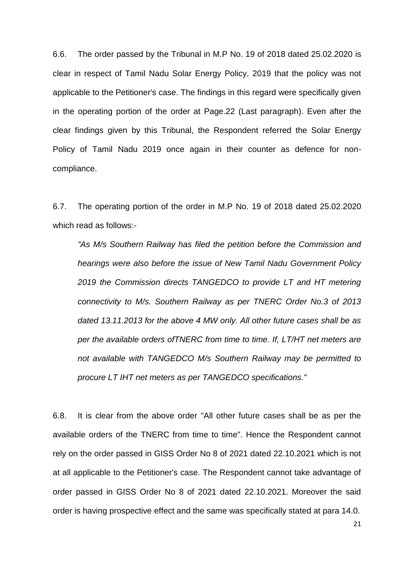6.6. The order passed by the Tribunal in M.P No. 19 of 2018 dated 25.02.2020 is clear in respect of Tamil Nadu Solar Energy Policy, 2019 that the policy was not applicable to the Petitioner's case. The findings in this regard were specifically given in the operating portion of the order at Page.22 (Last paragraph). Even after the clear findings given by this Tribunal, the Respondent referred the Solar Energy Policy of Tamil Nadu 2019 once again in their counter as defence for noncompliance.

6.7. The operating portion of the order in M.P No. 19 of 2018 dated 25.02.2020 which read as follows:-

*"As M/s Southern Railway has filed the petition before the Commission and hearings were also before the issue of New Tamil Nadu Government Policy 2019 the Commission directs TANGEDCO to provide LT and HT metering connectivity to M/s. Southern Railway as per TNERC Order No.3 of 2013 dated 13.11.2013 for the above 4 MW only. All other future cases shall be as per the available orders ofTNERC from time to time. If, LT/HT net meters are not available with TANGEDCO M/s Southern Railway may be permitted to procure LT IHT net meters as per TANGEDCO specifications."* 

6.8. It is clear from the above order "All other future cases shall be as per the available orders of the TNERC from time to time". Hence the Respondent cannot rely on the order passed in GISS Order No 8 of 2021 dated 22.10.2021 which is not at all applicable to the Petitioner's case. The Respondent cannot take advantage of order passed in GISS Order No 8 of 2021 dated 22.10.2021. Moreover the said order is having prospective effect and the same was specifically stated at para 14.0.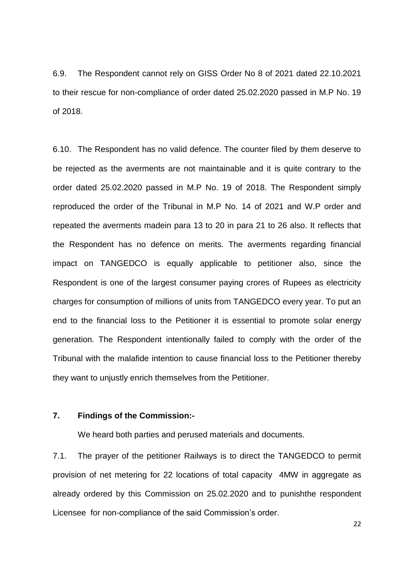6.9. The Respondent cannot rely on GISS Order No 8 of 2021 dated 22.10.2021 to their rescue for non-compliance of order dated 25.02.2020 passed in M.P No. 19 of 2018.

6.10. The Respondent has no valid defence. The counter filed by them deserve to be rejected as the averments are not maintainable and it is quite contrary to the order dated 25.02.2020 passed in M.P No. 19 of 2018. The Respondent simply reproduced the order of the Tribunal in M.P No. 14 of 2021 and W.P order and repeated the averments madein para 13 to 20 in para 21 to 26 also. It reflects that the Respondent has no defence on merits. The averments regarding financial impact on TANGEDCO is equally applicable to petitioner also, since the Respondent is one of the largest consumer paying crores of Rupees as electricity charges for consumption of millions of units from TANGEDCO every year. To put an end to the financial loss to the Petitioner it is essential to promote solar energy generation. The Respondent intentionally failed to comply with the order of the Tribunal with the malafide intention to cause financial loss to the Petitioner thereby they want to unjustly enrich themselves from the Petitioner.

#### **7. Findings of the Commission:-**

We heard both parties and perused materials and documents.

7.1. The prayer of the petitioner Railways is to direct the TANGEDCO to permit provision of net metering for 22 locations of total capacity 4MW in aggregate as already ordered by this Commission on 25.02.2020 and to punishthe respondent Licensee for non-compliance of the said Commission's order.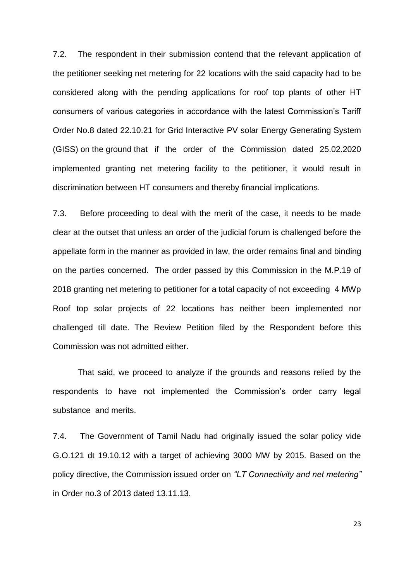7.2. The respondent in their submission contend that the relevant application of the petitioner seeking net metering for 22 locations with the said capacity had to be considered along with the pending applications for roof top plants of other HT consumers of various categories in accordance with the latest Commission's Tariff Order No.8 dated 22.10.21 for Grid Interactive PV solar Energy Generating System (GISS) on the ground that if the order of the Commission dated 25.02.2020 implemented granting net metering facility to the petitioner, it would result in discrimination between HT consumers and thereby financial implications.

7.3. Before proceeding to deal with the merit of the case, it needs to be made clear at the outset that unless an order of the judicial forum is challenged before the appellate form in the manner as provided in law, the order remains final and binding on the parties concerned. The order passed by this Commission in the M.P.19 of 2018 granting net metering to petitioner for a total capacity of not exceeding 4 MWp Roof top solar projects of 22 locations has neither been implemented nor challenged till date. The Review Petition filed by the Respondent before this Commission was not admitted either.

That said, we proceed to analyze if the grounds and reasons relied by the respondents to have not implemented the Commission's order carry legal substance and merits.

7.4. The Government of Tamil Nadu had originally issued the solar policy vide G.O.121 dt 19.10.12 with a target of achieving 3000 MW by 2015. Based on the policy directive, the Commission issued order on *"LT Connectivity and net metering"* in Order no.3 of 2013 dated 13.11.13.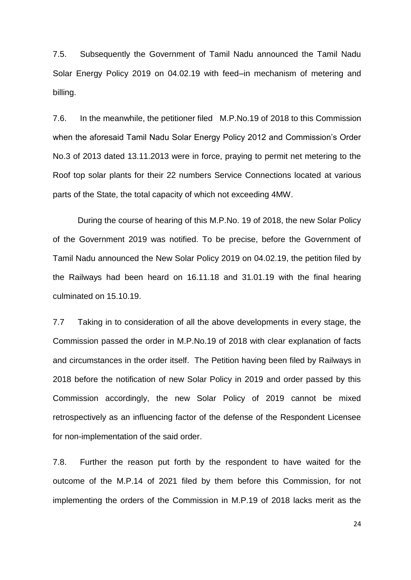7.5. Subsequently the Government of Tamil Nadu announced the Tamil Nadu Solar Energy Policy 2019 on 04.02.19 with feed–in mechanism of metering and billing.

7.6. In the meanwhile, the petitioner filed M.P.No.19 of 2018 to this Commission when the aforesaid Tamil Nadu Solar Energy Policy 2012 and Commission's Order No.3 of 2013 dated 13.11.2013 were in force, praying to permit net metering to the Roof top solar plants for their 22 numbers Service Connections located at various parts of the State, the total capacity of which not exceeding 4MW.

During the course of hearing of this M.P.No. 19 of 2018, the new Solar Policy of the Government 2019 was notified. To be precise, before the Government of Tamil Nadu announced the New Solar Policy 2019 on 04.02.19, the petition filed by the Railways had been heard on 16.11.18 and 31.01.19 with the final hearing culminated on 15.10.19.

7.7 Taking in to consideration of all the above developments in every stage, the Commission passed the order in M.P.No.19 of 2018 with clear explanation of facts and circumstances in the order itself. The Petition having been filed by Railways in 2018 before the notification of new Solar Policy in 2019 and order passed by this Commission accordingly, the new Solar Policy of 2019 cannot be mixed retrospectively as an influencing factor of the defense of the Respondent Licensee for non-implementation of the said order.

7.8. Further the reason put forth by the respondent to have waited for the outcome of the M.P.14 of 2021 filed by them before this Commission, for not implementing the orders of the Commission in M.P.19 of 2018 lacks merit as the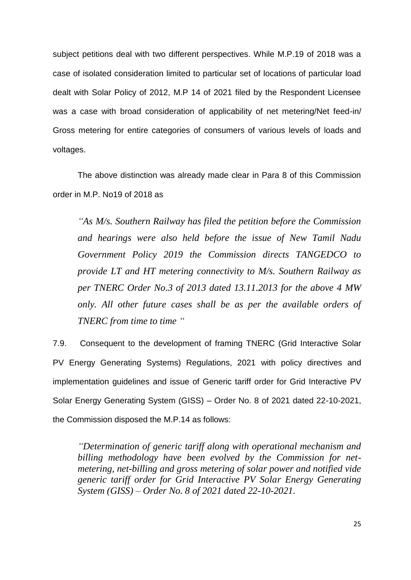subject petitions deal with two different perspectives. While M.P.19 of 2018 was a case of isolated consideration limited to particular set of locations of particular load dealt with Solar Policy of 2012, M.P 14 of 2021 filed by the Respondent Licensee was a case with broad consideration of applicability of net metering/Net feed-in/ Gross metering for entire categories of consumers of various levels of loads and voltages.

The above distinction was already made clear in Para 8 of this Commission order in M.P. No19 of 2018 as

*"As M/s. Southern Railway has filed the petition before the Commission and hearings were also held before the issue of New Tamil Nadu Government Policy 2019 the Commission directs TANGEDCO to provide LT and HT metering connectivity to M/s. Southern Railway as per TNERC Order No.3 of 2013 dated 13.11.2013 for the above 4 MW only. All other future cases shall be as per the available orders of TNERC from time to time "*

7.9. Consequent to the development of framing TNERC (Grid Interactive Solar PV Energy Generating Systems) Regulations, 2021 with policy directives and implementation guidelines and issue of Generic tariff order for Grid Interactive PV Solar Energy Generating System (GISS) – Order No. 8 of 2021 dated 22-10-2021, the Commission disposed the M.P.14 as follows:

*"Determination of generic tariff along with operational mechanism and billing methodology have been evolved by the Commission for netmetering, net-billing and gross metering of solar power and notified vide generic tariff order for Grid Interactive PV Solar Energy Generating System (GISS) – Order No. 8 of 2021 dated 22-10-2021.*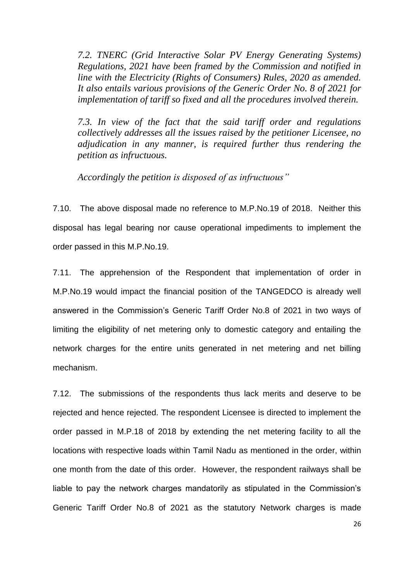*7.2. TNERC (Grid Interactive Solar PV Energy Generating Systems) Regulations, 2021 have been framed by the Commission and notified in line with the Electricity (Rights of Consumers) Rules, 2020 as amended. It also entails various provisions of the Generic Order No. 8 of 2021 for implementation of tariff so fixed and all the procedures involved therein.* 

*7.3. In view of the fact that the said tariff order and regulations collectively addresses all the issues raised by the petitioner Licensee, no adjudication in any manner, is required further thus rendering the petition as infructuous.* 

*Accordingly the petition is disposed of as infructuous"*

7.10. The above disposal made no reference to M.P.No.19 of 2018. Neither this disposal has legal bearing nor cause operational impediments to implement the order passed in this M.P.No.19.

7.11. The apprehension of the Respondent that implementation of order in M.P.No.19 would impact the financial position of the TANGEDCO is already well answered in the Commission's Generic Tariff Order No.8 of 2021 in two ways of limiting the eligibility of net metering only to domestic category and entailing the network charges for the entire units generated in net metering and net billing mechanism.

7.12. The submissions of the respondents thus lack merits and deserve to be rejected and hence rejected. The respondent Licensee is directed to implement the order passed in M.P.18 of 2018 by extending the net metering facility to all the locations with respective loads within Tamil Nadu as mentioned in the order, within one month from the date of this order. However, the respondent railways shall be liable to pay the network charges mandatorily as stipulated in the Commission's Generic Tariff Order No.8 of 2021 as the statutory Network charges is made